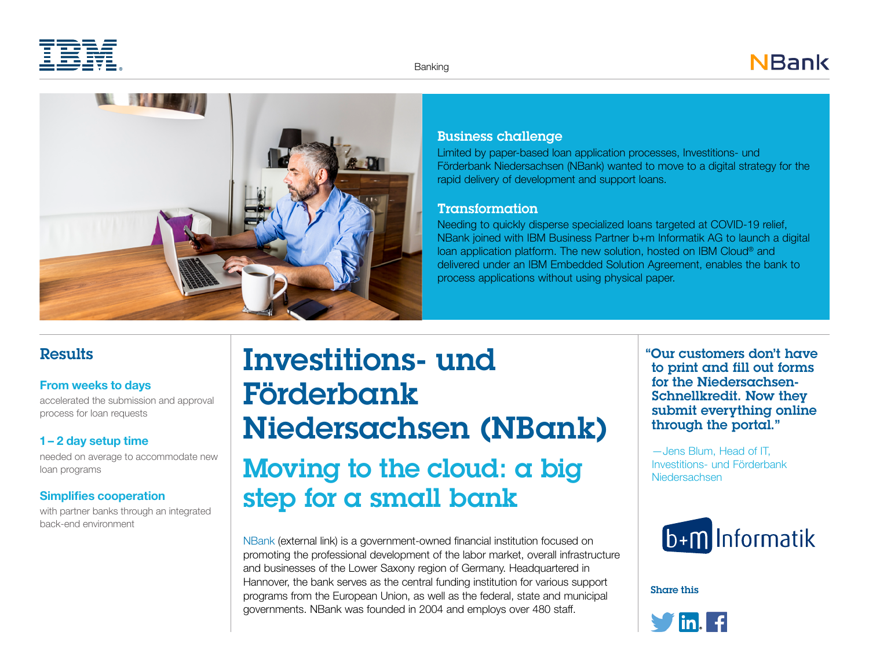



### Business challenge

Limited by paper-based loan application processes, Investitions- und Förderbank Niedersachsen (NBank) wanted to move to a digital strategy for the rapid delivery of development and support loans.

### Transformation

Needing to quickly disperse specialized loans targeted at COVID-19 relief, NBank joined with IBM Business Partner b+m Informatik AG to launch a digital loan application platform. The new solution, hosted on IBM Cloud® and delivered under an IBM Embedded Solution Agreement, enables the bank to process applications without using physical paper.

### **Results**

### **From weeks to days**

accelerated the submission and approval process for loan requests

### **1 – 2 day setup time**

needed on average to accommodate new loan programs

### **Simplifies cooperation**

with partner banks through an integrated back-end environment

# Investitions- und Förderbank Niedersachsen (NBank) Moving to the cloud: a big step for a small bank

[NBank](https://www.nbank.de) (external link) is a government-owned financial institution focused on promoting the professional development of the labor market, overall infrastructure and businesses of the Lower Saxony region of Germany. Headquartered in Hannover, the bank serves as the central funding institution for various support programs from the European Union, as well as the federal, state and municipal governments. NBank was founded in 2004 and employs over 480 staff.

"Our customers don't have to print and fill out forms for the Niedersachsen-Schnellkredit. Now they submit everything online through the portal."

—Jens Blum, Head of IT, Investitions- und Förderbank Niedersachsen



Share this

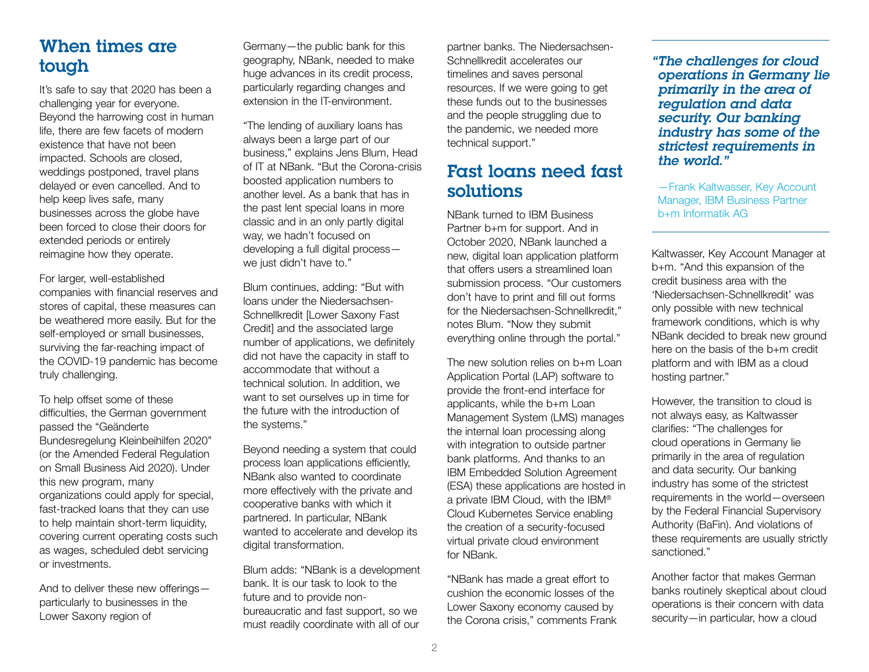## When times are tough

It's safe to say that 2020 has been a challenging year for everyone. Beyond the harrowing cost in human life, there are few facets of modern existence that have not been impacted. Schools are closed, weddings postponed, travel plans delayed or even cancelled. And to help keep lives safe, many businesses across the globe have been forced to close their doors for extended periods or entirely reimagine how they operate.

For larger, well-established companies with financial reserves and stores of capital, these measures can be weathered more easily. But for the self-employed or small businesses, surviving the far-reaching impact of the COVID-19 pandemic has become truly challenging.

To help offset some of these difficulties, the German government passed the "Geänderte Bundesregelung Kleinbeihilfen 2020" (or the Amended Federal Regulation on Small Business Aid 2020). Under this new program, many organizations could apply for special, fast-tracked loans that they can use to help maintain short-term liquidity, covering current operating costs such as wages, scheduled debt servicing or investments.

And to deliver these new offerings particularly to businesses in the Lower Saxony region of

Germany—the public bank for this geography, NBank, needed to make huge advances in its credit process, particularly regarding changes and extension in the IT-environment.

"The lending of auxiliary loans has always been a large part of our business," explains Jens Blum, Head of IT at NBank. "But the Corona-crisis boosted application numbers to another level. As a bank that has in the past lent special loans in more classic and in an only partly digital way, we hadn't focused on developing a full digital process we just didn't have to."

Blum continues, adding: "But with loans under the Niedersachsen-Schnellkredit [Lower Saxony Fast Credit] and the associated large number of applications, we definitely did not have the capacity in staff to accommodate that without a technical solution. In addition, we want to set ourselves up in time for the future with the introduction of the systems."

Beyond needing a system that could process loan applications efficiently, NBank also wanted to coordinate more effectively with the private and cooperative banks with which it partnered. In particular, NBank wanted to accelerate and develop its digital transformation.

Blum adds: "NBank is a development bank. It is our task to look to the future and to provide nonbureaucratic and fast support, so we must readily coordinate with all of our

partner banks. The Niedersachsen-Schnellkredit accelerates our timelines and saves personal resources. If we were going to get these funds out to the businesses and the people struggling due to the pandemic, we needed more technical support."

### Fast loans need fast solutions

NBank turned to IBM Business Partner b+m for support. And in October 2020, NBank launched a new, digital loan application platform that offers users a streamlined loan submission process. "Our customers don't have to print and fill out forms for the Niedersachsen-Schnellkredit," notes Blum. "Now they submit everything online through the portal."

The new solution relies on b+m Loan Application Portal (LAP) software to provide the front-end interface for applicants, while the b+m Loan Management System (LMS) manages the internal loan processing along with integration to outside partner bank platforms. And thanks to an IBM Embedded Solution Agreement (ESA) these applications are hosted in a private IBM Cloud, with the IBM® Cloud Kubernetes Service enabling the creation of a security-focused virtual private cloud environment for NBank.

"NBank has made a great effort to cushion the economic losses of the Lower Saxony economy caused by the Corona crisis," comments Frank "The challenges for cloud operations in Germany lie primarily in the area of regulation and data security. Our banking industry has some of the strictest requirements in the world."

—Frank Kaltwasser, Key Account Manager, IBM Business Partner b+m Informatik AG

Kaltwasser, Key Account Manager at b+m. "And this expansion of the credit business area with the 'Niedersachsen-Schnellkredit' was only possible with new technical framework conditions, which is why NBank decided to break new ground here on the basis of the b+m credit platform and with IBM as a cloud hosting partner."

However, the transition to cloud is not always easy, as Kaltwasser clarifies: "The challenges for cloud operations in Germany lie primarily in the area of regulation and data security. Our banking industry has some of the strictest requirements in the world—overseen by the Federal Financial Supervisory Authority (BaFin). And violations of these requirements are usually strictly sanctioned."

Another factor that makes German banks routinely skeptical about cloud operations is their concern with data security—in particular, how a cloud